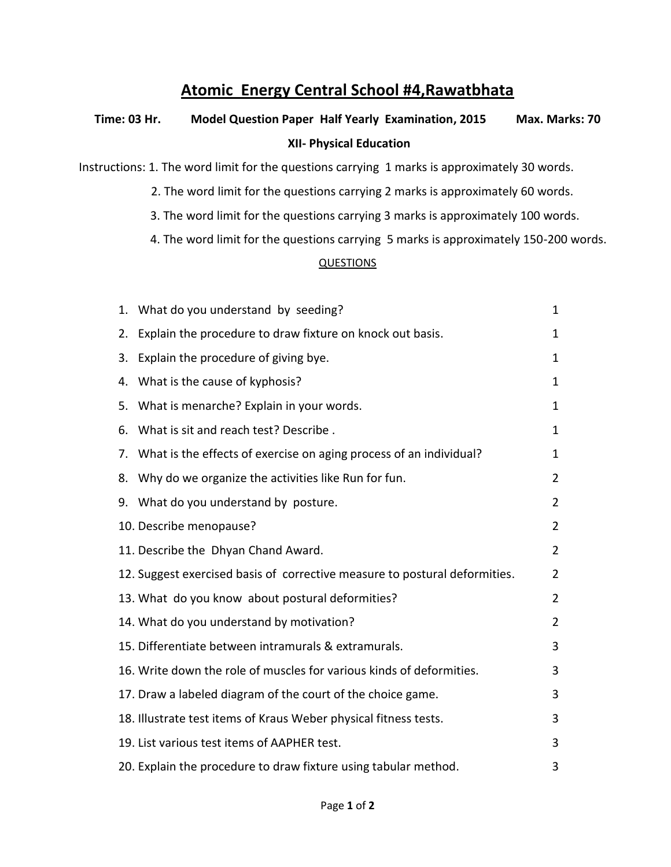## **Atomic Energy Central School #4,Rawatbhata**

## **Time: 03 Hr. Model Question Paper Half Yearly Examination, 2015 Max. Marks: 70 XII- Physical Education**

Instructions: 1. The word limit for the questions carrying 1 marks is approximately 30 words.

- 2. The word limit for the questions carrying 2 marks is approximately 60 words.
- 3. The word limit for the questions carrying 3 marks is approximately 100 words.
- 4. The word limit for the questions carrying 5 marks is approximately 150-200 words.

## **QUESTIONS**

| 1. | What do you understand by seeding?                                         | $\mathbf{1}$   |
|----|----------------------------------------------------------------------------|----------------|
| 2. | Explain the procedure to draw fixture on knock out basis.                  | 1              |
| 3. | Explain the procedure of giving bye.                                       | 1              |
| 4. | What is the cause of kyphosis?                                             | 1              |
| 5. | What is menarche? Explain in your words.                                   | $\mathbf{1}$   |
| 6. | What is sit and reach test? Describe.                                      | $\mathbf{1}$   |
| 7. | What is the effects of exercise on aging process of an individual?         | 1              |
| 8. | Why do we organize the activities like Run for fun.                        | $\overline{2}$ |
|    | 9. What do you understand by posture.                                      | $\overline{2}$ |
|    | 10. Describe menopause?                                                    | $\overline{2}$ |
|    | 11. Describe the Dhyan Chand Award.                                        | $\overline{2}$ |
|    | 12. Suggest exercised basis of corrective measure to postural deformities. | $\overline{2}$ |
|    | 13. What do you know about postural deformities?                           | $\overline{2}$ |
|    | 14. What do you understand by motivation?                                  | $\overline{2}$ |
|    | 15. Differentiate between intramurals & extramurals.                       | 3              |
|    | 16. Write down the role of muscles for various kinds of deformities.       | 3              |
|    | 17. Draw a labeled diagram of the court of the choice game.                | 3              |
|    | 18. Illustrate test items of Kraus Weber physical fitness tests.           | 3              |
|    | 19. List various test items of AAPHER test.                                | 3              |
|    | 20. Explain the procedure to draw fixture using tabular method.            | 3              |